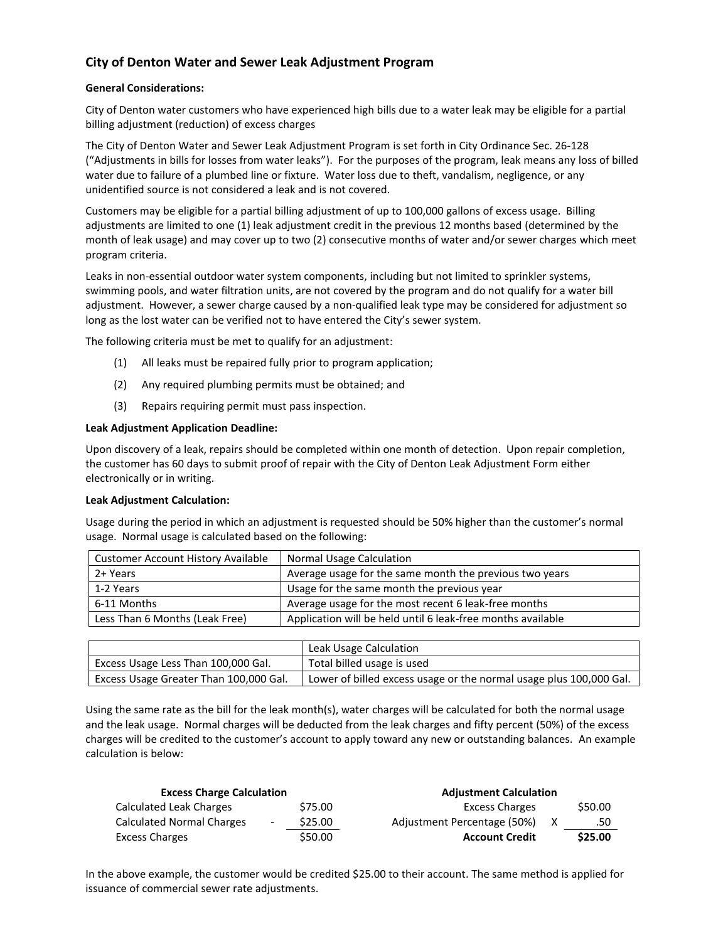# **City of Denton Water and Sewer Leak Adjustment Program**

## **General Considerations:**

City of Denton water customers who have experienced high bills due to a water leak may be eligible for a partial billing adjustment (reduction) of excess charges

The City of Denton Water and Sewer Leak Adjustment Program is set forth in City Ordinance Sec. 26-128 ("Adjustments in bills for losses from water leaks"). For the purposes of the program, leak means any loss of billed water due to failure of a plumbed line or fixture. Water loss due to theft, vandalism, negligence, or any unidentified source is not considered a leak and is not covered.

Customers may be eligible for a partial billing adjustment of up to 100,000 gallons of excess usage. Billing adjustments are limited to one (1) leak adjustment credit in the previous 12 months based (determined by the month of leak usage) and may cover up to two (2) consecutive months of water and/or sewer charges which meet program criteria.

Leaks in non-essential outdoor water system components, including but not limited to sprinkler systems, swimming pools, and water filtration units, are not covered by the program and do not qualify for a water bill adjustment. However, a sewer charge caused by a non-qualified leak type may be considered for adjustment so long as the lost water can be verified not to have entered the City's sewer system.

The following criteria must be met to qualify for an adjustment:

- (1) All leaks must be repaired fully prior to program application;
- (2) Any required plumbing permits must be obtained; and
- (3) Repairs requiring permit must pass inspection.

## **Leak Adjustment Application Deadline:**

Upon discovery of a leak, repairs should be completed within one month of detection. Upon repair completion, the customer has 60 days to submit proof of repair with the City of Denton Leak Adjustment Form either electronically or in writing.

#### **Leak Adjustment Calculation:**

Usage during the period in which an adjustment is requested should be 50% higher than the customer's normal usage. Normal usage is calculated based on the following:

| <b>Customer Account History Available</b> | Normal Usage Calculation                                    |  |
|-------------------------------------------|-------------------------------------------------------------|--|
| 2+ Years                                  | Average usage for the same month the previous two years     |  |
| 1-2 Years                                 | Usage for the same month the previous year                  |  |
| 6-11 Months                               | Average usage for the most recent 6 leak-free months        |  |
| Less Than 6 Months (Leak Free)            | Application will be held until 6 leak-free months available |  |

|                                        | Leak Usage Calculation                                             |
|----------------------------------------|--------------------------------------------------------------------|
| Excess Usage Less Than 100,000 Gal.    | Total billed usage is used                                         |
| Excess Usage Greater Than 100,000 Gal. | Lower of billed excess usage or the normal usage plus 100,000 Gal. |

Using the same rate as the bill for the leak month(s), water charges will be calculated for both the normal usage and the leak usage. Normal charges will be deducted from the leak charges and fifty percent (50%) of the excess charges will be credited to the customer's account to apply toward any new or outstanding balances. An example calculation is below:

| <b>Excess Charge Calculation</b> |                          |         | <b>Adjustment Calculation</b> |         |
|----------------------------------|--------------------------|---------|-------------------------------|---------|
| Calculated Leak Charges          |                          | \$75.00 | <b>Excess Charges</b>         | \$50.00 |
| <b>Calculated Normal Charges</b> | $\overline{\phantom{a}}$ | \$25.00 | Adjustment Percentage (50%)   | .50     |
| <b>Excess Charges</b>            |                          | \$50.00 | <b>Account Credit</b>         | \$25.00 |

In the above example, the customer would be credited \$25.00 to their account. The same method is applied for issuance of commercial sewer rate adjustments.